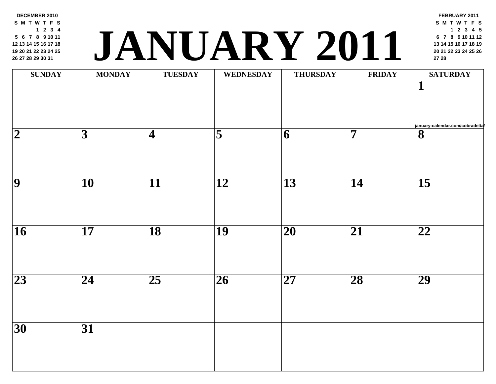**DECEMBER 2010 S M T W T F S 2 3 4 6 7 8 9 10 11 13 14 15 16 17 18 20 21 22 23 24 25 27 28 29 30 31**

### **<sup>20</sup> <sup>21</sup> <sup>22</sup> <sup>23</sup> <sup>24</sup> <sup>25</sup> <sup>26</sup> JANUARY 2011 <sup>27</sup> <sup>28</sup>**

| <b>SUNDAY</b>            | <b>MONDAY</b>   | <b>TUESDAY</b>          | <b>WEDNESDAY</b>        | <b>THURSDAY</b> | FRII                    |
|--------------------------|-----------------|-------------------------|-------------------------|-----------------|-------------------------|
|                          |                 |                         |                         |                 |                         |
| $\overline{\mathbf{2}}$  | $\overline{3}$  | $\overline{\mathbf{4}}$ | $\overline{\mathbf{5}}$ | 6               | $\overline{\mathbf{7}}$ |
| $\overline{9}$           | $\overline{10}$ | $\overline{11}$         | $\overline{12}$         | $\overline{13}$ | $\overline{14}$         |
| $\overline{\mathbf{16}}$ | $\overline{17}$ | $\overline{18}$         | $\overline{19}$         | $\overline{20}$ | $\overline{21}$         |
| $\overline{23}$          | $\overline{24}$ | $\overline{25}$         | $\overline{26}$         | $\overline{27}$ | $\overline{28}$         |
| $\overline{30}$          | $\overline{31}$ |                         |                         |                 |                         |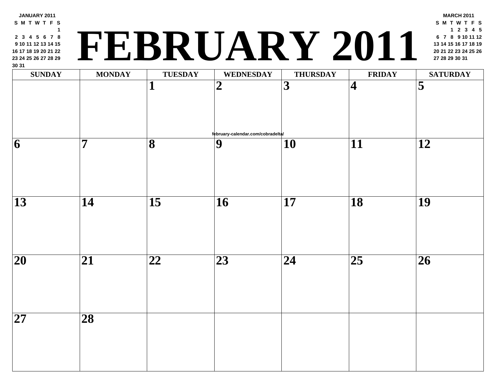| <b>SUNDAY</b>   | <b>MONDAY</b>   | <b>TUESDAY</b>           | <b>WEDNESDAY</b>                  | <b>THURSDAY</b> | <b>FRII</b>     |
|-----------------|-----------------|--------------------------|-----------------------------------|-----------------|-----------------|
|                 |                 | 1                        | $\overline{2}$                    | 3               | $\vert 4$       |
|                 |                 |                          | february-calendar.com/cobradelta/ |                 |                 |
| 6               | 7               | 8                        | 9                                 | 10              | 11              |
| 13              | 14              | 15                       | <b>16</b>                         | 17              | 18              |
|                 |                 |                          |                                   |                 |                 |
| 20              | 21              | $\overline{\mathbf{22}}$ | 23                                | 24              | $\overline{25}$ |
|                 |                 |                          |                                   |                 |                 |
| $\overline{27}$ | $\overline{28}$ |                          |                                   |                 |                 |

**JANUARY 2011 S M T W T F S**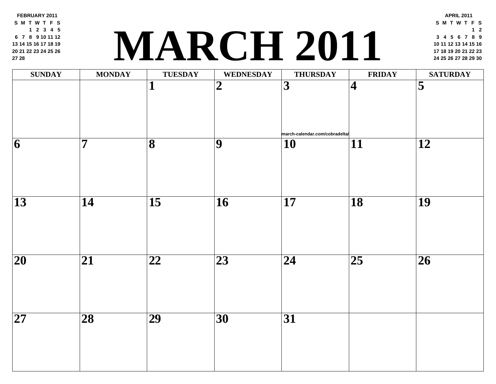**FEBRUARY 2011 S M T W T F S 2 3 4 5 7 8 9 10 11 12 14 15 16 17 18 19 21 22 23 24 25 26 28**

## **<sup>17</sup> <sup>18</sup> <sup>19</sup> <sup>20</sup> <sup>21</sup> <sup>22</sup> <sup>23</sup> MARCH 2011 <sup>24</sup> <sup>25</sup> <sup>26</sup> <sup>27</sup> <sup>28</sup> <sup>29</sup> <sup>30</sup>**

| <b>SUNDAY</b>           | <b>MONDAY</b>           | <b>TUESDAY</b>          | <b>WEDNESDAY</b> | <b>THURSDAY</b>                                  | FRII                    |
|-------------------------|-------------------------|-------------------------|------------------|--------------------------------------------------|-------------------------|
|                         |                         | $\mathbf{1}$            | $\overline{2}$   | $\overline{3}$<br>march-calendar.com/cobradelta/ | $\overline{\mathbf{4}}$ |
| $\overline{\mathbf{6}}$ | $\overline{\mathbf{7}}$ | $\overline{\mathbf{8}}$ | $\overline{9}$   | <b>10</b>                                        | $\overline{11}$         |
| $\overline{13}$         | $\overline{14}$         | $\overline{15}$         | $\overline{16}$  | $\overline{17}$                                  | $\overline{18}$         |
| $\overline{20}$         | $\overline{21}$         | $\overline{22}$         | $\overline{23}$  | $\overline{24}$                                  | $\overline{25}$         |
| $\overline{27}$         | $\overline{28}$         | $\overline{29}$         | $\overline{30}$  | $\overline{31}$                                  |                         |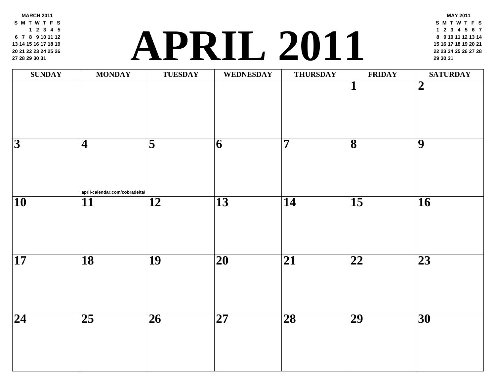**MARCH 2011 S M T W T F S 2 3 4 5 7 8 9 10 11 12 14 15 16 17 18 19 21 22 23 24 25 26 28 29 30 31**

### **<sup>22</sup> <sup>23</sup> <sup>24</sup> <sup>25</sup> <sup>26</sup> <sup>27</sup> <sup>28</sup> APRIL 2011 <sup>29</sup> <sup>30</sup> <sup>31</sup>**

| <b>SUNDAY</b>   | <b>MONDAY</b>                                     | <b>TUESDAY</b>      | <b>WEDNESDAY</b> | <b>THURSDAY</b>         | FRII                         |
|-----------------|---------------------------------------------------|---------------------|------------------|-------------------------|------------------------------|
|                 |                                                   |                     |                  |                         | $\mathbf{1}$                 |
| $\overline{3}$  | $\vert 4 \vert$<br>april-calendar.com/cobradelta/ | $\overline{\bf{5}}$ | $\overline{6}$   | $\overline{\mathbf{7}}$ | $\overline{\mathbf{8}}$      |
| $\overline{10}$ | $\overline{11}$                                   | $\overline{12}$     | $\overline{13}$  | $\overline{14}$         | $\overline{15}$              |
| $\overline{17}$ | $\overline{18}$                                   | $\overline{19}$     | $\overline{20}$  | $\overline{21}$         | $\overline{\boldsymbol{22}}$ |
| $\overline{24}$ | $\overline{25}$                                   | $\overline{26}$     | $\overline{27}$  | $\overline{28}$         | $\overline{29}$              |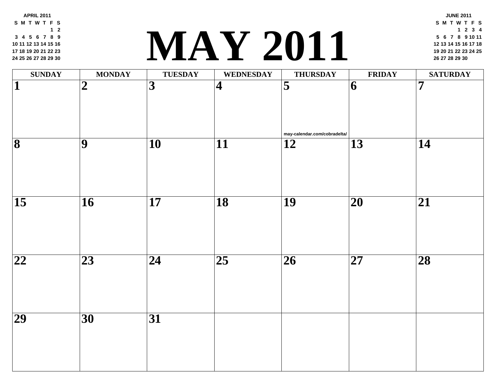**APRIL 2011 S M T W T F S 2 4 5 6 7 8 9 11 12 13 14 15 16 18 19 20 21 22 23 25 26 27 28 29 30**

#### **<sup>19</sup> <sup>20</sup> <sup>21</sup> <sup>22</sup> <sup>23</sup> <sup>24</sup> <sup>25</sup> MAY 2011 <sup>26</sup> <sup>27</sup> <sup>28</sup> <sup>29</sup> <sup>30</sup>**

| <b>SUNDAY</b>           | <b>MONDAY</b>   | TUESDAY                 | WEDNESDAY                | <b>THURSDAY</b>                                 | FRII                     |
|-------------------------|-----------------|-------------------------|--------------------------|-------------------------------------------------|--------------------------|
| $\overline{\mathbf{1}}$ | $\overline{2}$  | $\overline{\mathbf{3}}$ | $\overline{\mathbf{4}}$  | $\overline{\mathbf{5}}$                         | $\vert 6 \vert$          |
| $\overline{\mathbf{8}}$ | $\overline{9}$  | $\overline{10}$         | $\overline{\mathbf{11}}$ | may-calendar.com/cobradelta/<br>$\overline{12}$ | $\overline{13}$          |
| $\overline{15}$         | $\overline{16}$ | $\overline{17}$         | $\overline{18}$          | $\overline{19}$                                 | $\overline{\mathbf{20}}$ |
| $\overline{22}$         | $\overline{23}$ | $\overline{24}$         | $\overline{25}$          | $\overline{26}$                                 | $\overline{\mathbf{27}}$ |
| $\overline{29}$         | $\overline{30}$ | $\overline{31}$         |                          |                                                 |                          |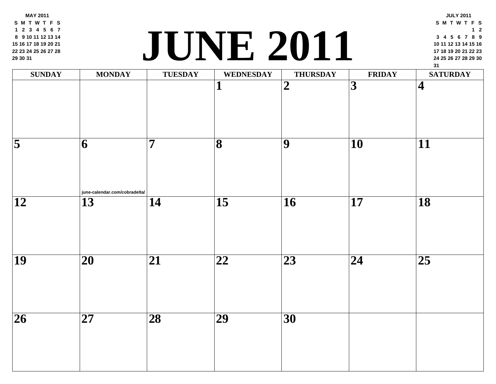**MAY 2011 S M T W T F S 2 3 4 5 6 7 9 10 11 12 13 14 16 17 18 19 20 21 23 24 25 26 27 28 30 31**

#### **<sup>24</sup> <sup>25</sup> <sup>26</sup> <sup>27</sup> <sup>28</sup> <sup>29</sup> <sup>30</sup> JUNE 2011**

| <b>SUNDAY</b>       | <b>MONDAY</b>                       | <b>TUESDAY</b>  | WEDNESDAY               | <b>THURSDAY</b> | FRII            |
|---------------------|-------------------------------------|-----------------|-------------------------|-----------------|-----------------|
|                     |                                     |                 | $\mathbf{1}$            | $\overline{2}$  | $\overline{3}$  |
| $\overline{\bf{5}}$ | 6 <br>june-calendar.com/cobradelta/ | $\overline{7}$  | $\overline{\mathbf{8}}$ | $\overline{9}$  | $\overline{10}$ |
| $\overline{12}$     | $\overline{13}$                     | $\overline{14}$ | $\overline{15}$         | $\overline{16}$ | $\overline{17}$ |
| $\overline{19}$     | $\overline{\mathbf{20}}$            | $\overline{21}$ | $\overline{22}$         | $\overline{23}$ | $\overline{24}$ |
| $\overline{26}$     | $\overline{\mathbf{27}}$            | $\overline{28}$ | $\overline{29}$         | $\overline{30}$ |                 |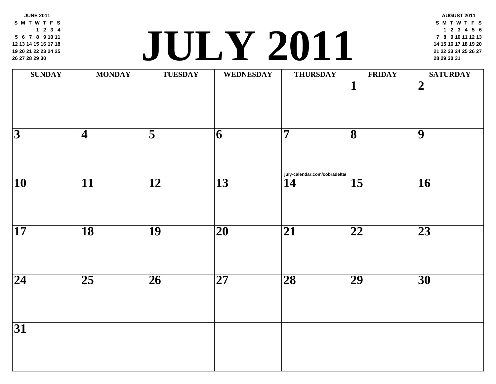**JUNE 2011 S M T W T F S 2 3 4 6 7 8 9 10 11 13 14 15 16 17 18 20 21 22 23 24 25 27 28 29 30**

# **2011 2011 2011 2011 2011 2011 2011 2021 2021 2021 2021 2021 2021 2021 2021 2021 2021 2021 2021 2021 2021 2021 2021 2021 2021 2021 2021 2021 2021 2021 2021**

| <b>SUNDAY</b>           | <b>MONDAY</b>           | <b>TUESDAY</b>      | WEDNESDAY                | <b>THURSDAY</b>                                 | FRII                    |
|-------------------------|-------------------------|---------------------|--------------------------|-------------------------------------------------|-------------------------|
|                         |                         |                     |                          |                                                 | $\overline{\mathbf{1}}$ |
| $\overline{\mathbf{3}}$ | $\overline{\mathbf{4}}$ | $\overline{\bf{5}}$ | 6                        | $\overline{7}$<br>july-calendar.com/cobradelta/ | $\overline{\mathbf{8}}$ |
| $\overline{10}$         | $\overline{11}$         | $\overline{12}$     | $\overline{13}$          | 14                                              | $\overline{15}$         |
| $\overline{17}$         | $\overline{18}$         | $\overline{19}$     | $\overline{\mathbf{20}}$ | $\overline{21}$                                 | $\overline{22}$         |
| $\overline{24}$         | $\overline{25}$         | $\overline{26}$     | $\overline{27}$          | $\overline{28}$                                 | $\overline{29}$         |
| $\overline{31}$         |                         |                     |                          |                                                 |                         |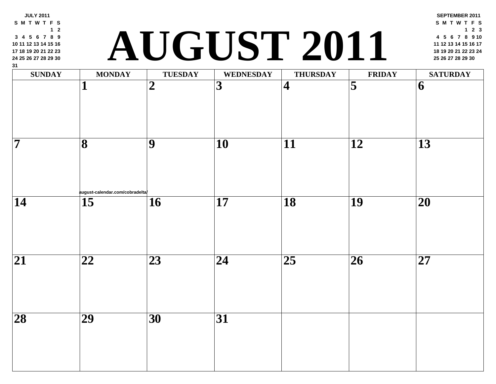| $1 \quad 2$<br>3 4 5 6 7 8 9<br>10 11 12 13 14 15 16<br>17 18 19 20 21 22 23<br>24 25 26 27 28 29 30<br>31 |                                      |                  | AUGUST 2011      |                         |                         |
|------------------------------------------------------------------------------------------------------------|--------------------------------------|------------------|------------------|-------------------------|-------------------------|
| <b>SUNDAY</b>                                                                                              | <b>MONDAY</b>                        | <b>TUESDAY</b>   | <b>WEDNESDAY</b> | <b>THURSDAY</b>         | <b>FRII</b>             |
|                                                                                                            |                                      | $\boldsymbol{2}$ | 3                | $\overline{\mathbf{4}}$ | $\overline{\mathbf{5}}$ |
| 7                                                                                                          | 8                                    | 9                | <b>10</b>        | 11                      | 12                      |
| 14                                                                                                         | august-calendar.com/cobradelta<br>15 | 16               | 17               | 18                      | 19                      |
| 21                                                                                                         | 22                                   | 23               | 24               | 25                      | 26                      |
| $\overline{28}$                                                                                            | $\overline{29}$                      | $\overline{30}$  | $\overline{31}$  |                         |                         |
|                                                                                                            |                                      |                  |                  |                         |                         |

**JULY 2011 S M T W T F S**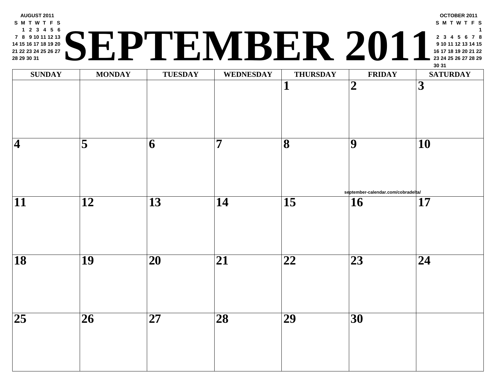#### **AUGUST 2011 S M T W T F S 2 3 4 5 6 8 9 10 11 12 13 15 16 17 18 19 20 22 23 24 25 26 27 29 30 31 <sup>23</sup> <sup>24</sup> <sup>25</sup> <sup>26</sup> <sup>27</sup> <sup>28</sup> <sup>29</sup> SEPTEMBER 2011**

| <b>SUNDAY</b>            | <b>MONDAY</b>           | <b>TUESDAY</b>           | <b>WEDNESDAY</b> | <b>THURSDAY</b>         | <b>FRII</b>                          |
|--------------------------|-------------------------|--------------------------|------------------|-------------------------|--------------------------------------|
|                          |                         |                          |                  | 1                       | $\boldsymbol{2}$                     |
| $\vert\mathbf{4}\vert$   | $\overline{\mathbf{5}}$ | $\overline{6}$           | $\overline{7}$   | $\overline{\mathbf{8}}$ | $\overline{9}$                       |
| $\overline{11}$          | $\overline{12}$         | $\overline{13}$          | $\overline{14}$  | $\overline{15}$         | september-calenda<br>$\overline{16}$ |
| $\overline{\mathbf{18}}$ | $\overline{19}$         | $\overline{20}$          | $\overline{21}$  | $\overline{22}$         | $\overline{23}$                      |
| $\overline{25}$          | $\overline{26}$         | $\overline{\mathbf{27}}$ | $\overline{28}$  | $\overline{29}$         | $\overline{30}$                      |
|                          |                         |                          |                  |                         |                                      |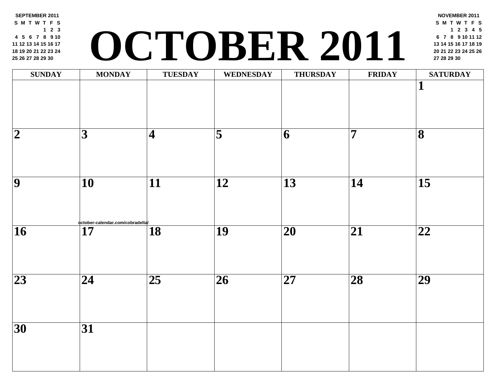**SEPTEMBER 2011 S M T W T F S 2 3 5 6 7 8 9 10 12 13 14 15 16 17 19 20 21 22 23 24 26 27 28 29 30**

# **<sup>20</sup> <sup>21</sup> <sup>22</sup> <sup>23</sup> <sup>24</sup> <sup>25</sup> <sup>26</sup> OCTOBER 2011 <sup>27</sup> <sup>28</sup> <sup>29</sup> <sup>30</sup>**

| <b>SUNDAY</b>           | <b>MONDAY</b>                                      | TUESDAY                 | WEDNESDAY           | <b>THURSDAY</b> | FRII            |
|-------------------------|----------------------------------------------------|-------------------------|---------------------|-----------------|-----------------|
|                         |                                                    |                         |                     |                 |                 |
| $\overline{\mathbf{2}}$ | $\overline{3}$                                     | $\overline{\mathbf{4}}$ | $\overline{\bf{5}}$ | 6               | $\overline{7}$  |
| $\overline{9}$          | $\overline{10}$                                    | $\overline{11}$         | $\overline{12}$     | $\overline{13}$ | $\overline{14}$ |
| $\overline{16}$         | october-calendar.com/cobradelta<br>$\overline{17}$ | $\overline{18}$         | $\overline{19}$     | $\overline{20}$ | $\overline{21}$ |
| $\overline{23}$         | $\overline{24}$                                    | $\overline{25}$         | $\overline{26}$     | $\overline{27}$ | $\overline{28}$ |
| $\overline{30}$         | $\overline{31}$                                    |                         |                     |                 |                 |
|                         |                                                    |                         |                     |                 |                 |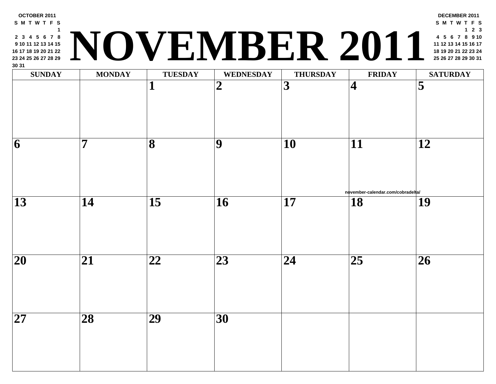| <b>SUNDAY</b>   | <b>MONDAY</b>   | <b>TUESDAY</b>  | <b>WEDNESDAY</b> | <b>THURSDAY</b> | <b>FRII</b>             |
|-----------------|-----------------|-----------------|------------------|-----------------|-------------------------|
|                 |                 |                 | $\overline{2}$   | 3               | $\overline{\mathbf{4}}$ |
| 6               | 7               | 8               | 9                | 10              | 11                      |
| $\overline{13}$ | 14              | $\overline{15}$ | $\overline{16}$  | 17              | november-calenda<br>18  |
| 20              | 21              | 22              | 23               | 24              | 25                      |
| $\overline{27}$ | $\overline{28}$ | $\overline{29}$ | $\overline{30}$  |                 |                         |

**OCTOBER 2011 S M T W T F S**